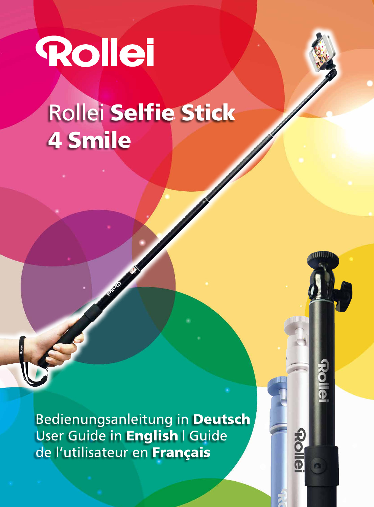# **Rollei** Rollei Selfie Stick 4 Smile

Bedienungsanleitung in Deutsch User Guide in English | Guide de l'utilisateur en Français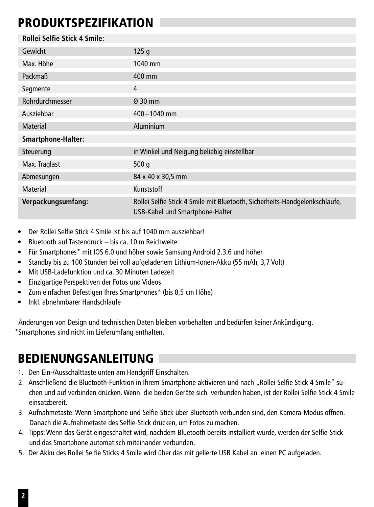#### PRODUKTSPEZIFIKATION

| Rollei Selfie Stick 4 Smile: |                                                                                                               |
|------------------------------|---------------------------------------------------------------------------------------------------------------|
| Gewicht                      | 125 <sub>q</sub>                                                                                              |
| Max. Höhe                    | 1040 mm                                                                                                       |
| Packmaß                      | 400 mm                                                                                                        |
| Segmente                     | 4                                                                                                             |
| Rohrdurchmesser              | $Q$ 30 mm                                                                                                     |
| Ausziehbar                   | $400 - 1040$ mm                                                                                               |
| Material                     | Aluminium                                                                                                     |
| Smartphone-Halter:           |                                                                                                               |
| Steuerung                    | in Winkel und Neigung beliebig einstellbar                                                                    |
| Max. Traglast                | 500q                                                                                                          |
| Abmesungen                   | 84 x 40 x 30,5 mm                                                                                             |
| Material                     | Kunststoff                                                                                                    |
| Verpackungsumfang:           | Rollei Selfie Stick 4 Smile mit Bluetooth, Sicherheits-Handgelenkschlaufe,<br>USB-Kabel und Smartphone-Halter |

- Der Rollei Selfie Stick 4 Smile ist bis auf 1040 mm ausziehbar!
- Bluetooth auf Tastendruck bis ca. 10 m Reichweite
- Für Smartphones\* mit IOS 6.0 und höher sowie Samsung Android 2.3.6 und höher
- Standby bis zu 100 Stunden bei voll aufgeladenem Lithium-Ionen-Akku (55 mAh, 3,7 Volt)
- Mit USB-Ladefunktion und ca. 30 Minuten Ladezeit
- Einzigartige Perspektiven der Fotos und Videos
- Zum einfachen Befestigen Ihres Smartphones\* (bis 8,5 cm Höhe)
- Inkl. abnehmbarer Handschlaufe

Änderungen von Design und technischen Daten bleiben vorbehalten und bedürfen keiner Ankündigung. \*Smartphones sind nicht im Lieferumfang enthalten.

#### BEDIENUNGSANLEITUNG

- 1. Den Ein-/Ausschalttaste unten am Handgriff Einschalten.
- 2. Anschließend die Bluetooth-Funktion in Ihrem Smartphone aktivieren und nach "Rollei Selfie Stick 4 Smile" suchen und auf verbinden drücken. Wenn die beiden Geräte sich verbunden haben, ist der Rollei Selfie Stick 4 Smile einsatzbereit.
- 3. Aufnahmetaste: Wenn Smartphone und Selfie-Stick über Bluetooth verbunden sind, den Kamera-Modus öffnen. Danach die Aufnahmetaste des Selfie-Stick drücken, um Fotos zu machen.
- 4. Tipps: Wenn das Gerät eingeschaltet wird, nachdem Bluetooth bereits installiert wurde, werden der Selfie-Stick und das Smartphone automatisch miteinander verbunden.
- 5. Der Akku des Rollei Selfie Sticks 4 Smile wird über das mit gelierte USB Kabel an einen PC aufgeladen.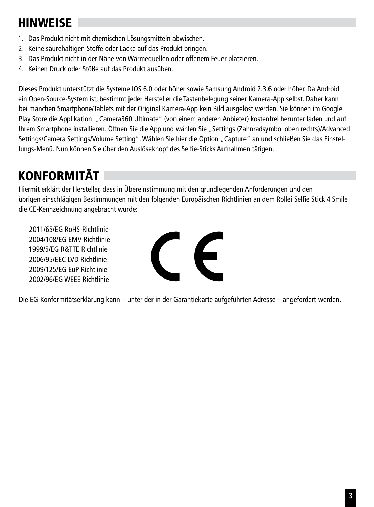### **HINWEISE**

- 1. Das Produkt nicht mit chemischen Lösungsmitteln abwischen.
- 2. Keine säurehaltigen Stoffe oder Lacke auf das Produkt bringen.
- 3. Das Produkt nicht in der Nähe von Wärmequellen oder offenem Feuer platzieren.
- 4. Keinen Druck oder Stöße auf das Produkt ausüben.

Dieses Produkt unterstützt die Systeme IOS 6.0 oder höher sowie Samsung Android 2.3.6 oder höher. Da Android ein Open-Source-System ist, bestimmt jeder Hersteller die Tastenbelegung seiner Kamera-App selbst. Daher kann bei manchen Smartphone/Tablets mit der Original Kamera-App kein Bild ausgelöst werden. Sie können im Google Play Store die Applikation "Camera360 Ultimate" (von einem anderen Anbieter) kostenfrei herunter laden und auf Ihrem Smartphone installieren. Öffnen Sie die App und wählen Sie "Settings (Zahnradsymbol oben rechts)/Advanced Settings/Camera Settings/Volume Setting". Wählen Sie hier die Option "Capture" an und schließen Sie das Einstellungs-Menü. Nun können Sie über den Auslöseknopf des Selfie-Sticks Aufnahmen tätigen.

# KONFORMITÄT

Hiermit erklärt der Hersteller, dass in Übereinstimmung mit den grundlegenden Anforderungen und den übrigen einschlägigen Bestimmungen mit den folgenden Europäischen Richtlinien an dem Rollei Selfie Stick 4 Smile die CE-Kennzeichnung angebracht wurde:

2011/65/EG RoHS-Richtlinie 2004/108/EG EMV-Richtlinie 1999/5/EG R&TTE Richtlinie 2006/95/EEC LVD Richtlinie 2009/125/EG EuP Richtlinie 2002/96/EG WEEE Richtlinie



Die EG-Konformitätserklärung kann – unter der in der Garantiekarte aufgeführten Adresse – angefordert werden.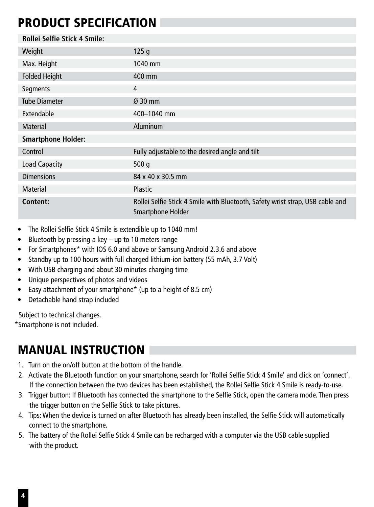#### PRODUCT SPECIFICATION

| Rollei Selfie Stick 4 Smile: |                                                                                                    |
|------------------------------|----------------------------------------------------------------------------------------------------|
| Weight                       | 125q                                                                                               |
| Max. Height                  | 1040 mm                                                                                            |
| <b>Folded Height</b>         | 400 mm                                                                                             |
| Segments                     | 4                                                                                                  |
| <b>Tube Diameter</b>         | $Q$ 30 mm                                                                                          |
| Extendable                   | 400-1040 mm                                                                                        |
| <b>Material</b>              | Aluminum                                                                                           |
| <b>Smartphone Holder:</b>    |                                                                                                    |
| Control                      | Fully adjustable to the desired angle and tilt                                                     |
| <b>Load Capacity</b>         | 500 $q$                                                                                            |
| <b>Dimensions</b>            | 84 x 40 x 30.5 mm                                                                                  |
| Material                     | <b>Plastic</b>                                                                                     |
| Content:                     | Rollei Selfie Stick 4 Smile with Bluetooth, Safety wrist strap, USB cable and<br>Smartphone Holder |

- The Rollei Selfie Stick 4 Smile is extendible up to 1040 mm!
- Bluetooth by pressing a key up to 10 meters range
- For Smartphones\* with IOS 6.0 and above or Samsung Android 2.3.6 and above
- Standby up to 100 hours with full charged lithium-ion battery (55 mAh, 3.7 Volt)
- With USB charging and about 30 minutes charging time
- Unique perspectives of photos and videos
- Easy attachment of your smartphone\* (up to a height of 8.5 cm)
- Detachable hand strap included

Subject to technical changes.

\*Smartphone is not included.

### MANUAL INSTRUCTION

- 1. Turn on the on/off button at the bottom of the handle.
- 2. Activate the Bluetooth function on your smartphone, search for 'Rollei Selfie Stick 4 Smile' and click on 'connect'. If the connection between the two devices has been established, the Rollei Selfie Stick 4 Smile is ready-to-use.
- 3. Trigger button: If Bluetooth has connected the smartphone to the Selfie Stick, open the camera mode. Then press the trigger button on the Selfie Stick to take pictures.
- 4. Tips: When the device is turned on after Bluetooth has already been installed, the Selfie Stick will automatically connect to the smartphone.
- 5. The battery of the Rollei Selfie Stick 4 Smile can be recharged with a computer via the USB cable supplied with the product.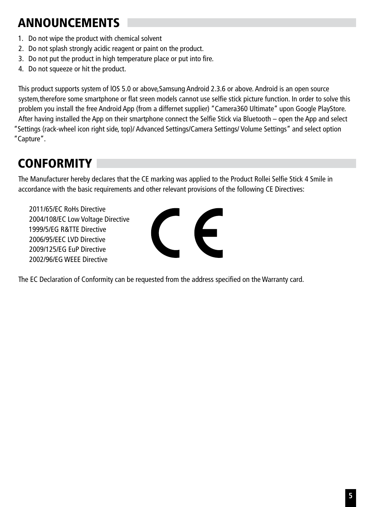# ANNOUNCEMENTS

- 1. Do not wipe the product with chemical solvent
- 2. Do not splash strongly acidic reagent or paint on the product.
- 3. Do not put the product in high temperature place or put into fire.
- 4. Do not squeeze or hit the product.

This product supports system of lOS 5.0 or above,Samsung Android 2.3.6 or above. Android is an open source system,therefore some smartphone or flat sreen models cannot use selfie stick picture function. In order to solve this problem you install the free Android App (from a differnet supplier) "Camera360 Ultimate" upon Google PlayStore. After having installed the App on their smartphone connect the Selfie Stick via Bluetooth – open the App and select "Settings (rack-wheel icon right side, top)/ Advanced Settings/Camera Settings/ Volume Settings" and select option "Capture".

# **CONFORMITY**

The Manufacturer hereby declares that the CE marking was applied to the Product Rollei Selfie Stick 4 Smile in accordance with the basic requirements and other relevant provisions of the following CE Directives:

2011/65/EC RoHs Directive 2004/108/EC Low Voltage Directive 1999/5/EG R&TTE Directive 2006/95/EEC LVD Directive 2009/125/EG EuP Directive 2002/96/EG WEEE Directive



The EC Declaration of Conformity can be requested from the address specified on the Warranty card.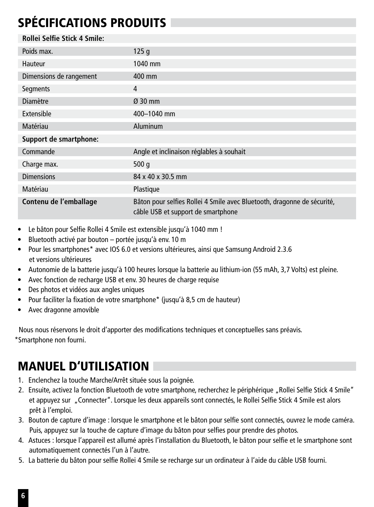# SPÉCIFICATIONS PRODUITS

| Rollei Selfie Stick 4 Smile: |                                                                                                               |
|------------------------------|---------------------------------------------------------------------------------------------------------------|
| Poids max.                   | 125q                                                                                                          |
| Hauteur                      | 1040 mm                                                                                                       |
| Dimensions de rangement      | 400 mm                                                                                                        |
| Segments                     | 4                                                                                                             |
| <b>Diamètre</b>              | $Q$ 30 mm                                                                                                     |
| Extensible                   | 400-1040 mm                                                                                                   |
| Matériau                     | Aluminum                                                                                                      |
| Support de smartphone:       |                                                                                                               |
| Commande                     | Angle et inclinaison réglables à souhait                                                                      |
| Charge max.                  | 500q                                                                                                          |
| <b>Dimensions</b>            | 84 x 40 x 30.5 mm                                                                                             |
| Matériau                     | Plastique                                                                                                     |
| Contenu de l'emballage       | Bâton pour selfies Rollei 4 Smile avec Bluetooth, dragonne de sécurité,<br>câble USB et support de smartphone |

- Le bâton pour Selfie Rollei 4 Smile est extensible jusqu'à 1040 mm !
- Bluetooth activé par bouton portée jusqu'à env. 10 m
- Pour les smartphones\* avec IOS 6.0 et versions ultérieures, ainsi que Samsung Android 2.3.6 et versions ultérieures
- Autonomie de la batterie jusqu'à 100 heures lorsque la batterie au lithium-ion (55 mAh, 3,7 Volts) est pleine.
- Avec fonction de recharge USB et env. 30 heures de charge requise
- Des photos et vidéos aux angles uniques
- Pour faciliter la fixation de votre smartphone\* (jusqu'à 8,5 cm de hauteur)
- Avec dragonne amovible

Nous nous réservons le droit d'apporter des modifications techniques et conceptuelles sans préavis. \*Smartphone non fourni.

## MANUEL D'UTILISATION

- 1. Enclenchez la touche Marche/Arrêt située sous la poignée.
- 2. Ensuite, activez la fonction Bluetooth de votre smartphone, recherchez le périphérique "Rollei Selfie Stick 4 Smile" et appuyez sur "Connecter". Lorsque les deux appareils sont connectés, le Rollei Selfie Stick 4 Smile est alors prêt à l'emploi.
- 3. Bouton de capture d'image : lorsque le smartphone et le bâton pour selfie sont connectés, ouvrez le mode caméra. Puis, appuyez sur la touche de capture d'image du bâton pour selfies pour prendre des photos.
- 4. Astuces : lorsque l'appareil est allumé après l'installation du Bluetooth, le bâton pour selfie et le smartphone sont automatiquement connectés l'un à l'autre.
- 5. La batterie du bâton pour selfie Rollei 4 Smile se recharge sur un ordinateur à l'aide du câble USB fourni.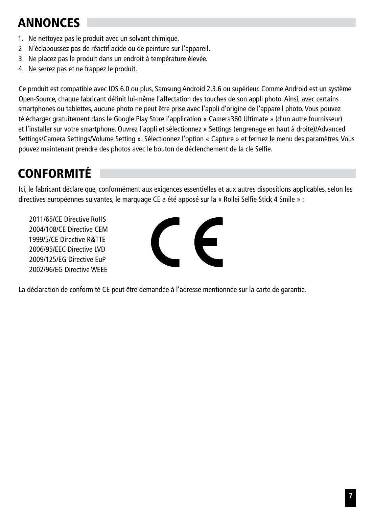# **ANNONCES**

- 1. Ne nettoyez pas le produit avec un solvant chimique.
- 2. N'éclaboussez pas de réactif acide ou de peinture sur l'appareil.
- 3. Ne placez pas le produit dans un endroit à température élevée.
- 4. Ne serrez pas et ne frappez le produit.

Ce produit est compatible avec IOS 6.0 ou plus, Samsung Android 2.3.6 ou supérieur. Comme Android est un système Open-Source, chaque fabricant définit lui-même l'affectation des touches de son appli photo. Ainsi, avec certains smartphones ou tablettes, aucune photo ne peut être prise avec l'appli d'origine de l'appareil photo. Vous pouvez télécharger gratuitement dans le Google Play Store l'application « Camera360 Ultimate » (d'un autre fournisseur) et l'installer sur votre smartphone. Ouvrez l'appli et sélectionnez « Settings (engrenage en haut à droite)/Advanced Settings/Camera Settings/Volume Setting ». Sélectionnez l'option « Capture » et fermez le menu des paramètres. Vous pouvez maintenant prendre des photos avec le bouton de déclenchement de la clé Selfie.

# **CONFORMITÉ**

Ici, le fabricant déclare que, conformément aux exigences essentielles et aux autres dispositions applicables, selon les directives européennes suivantes, le marquage CE a été apposé sur la « Rollei Selfie Stick 4 Smile » :

2011/65/CE Directive RoHS 2004/108/CE Directive CEM 1999/5/CE Directive R&TTE 2006/95/EEC Directive LVD 2009/125/EG Directive EuP 2002/96/EG Directive WEEE



La déclaration de conformité CE peut être demandée à l'adresse mentionnée sur la carte de garantie.